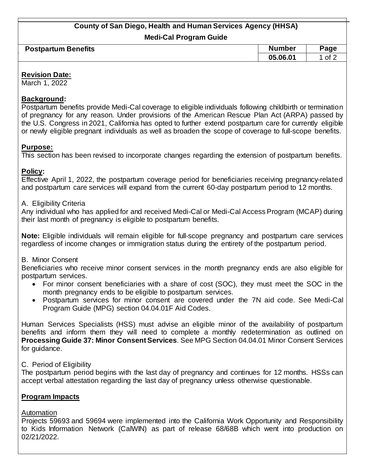# **County of San Diego, Health and Human Services Agency (HHSA)**

**Medi-Cal Program Guide**

| <b>Postpartum Benefits</b> | <b>Number</b> | Page |
|----------------------------|---------------|------|
|                            | 05.06.01      | of 2 |

#### **Revision Date:**

March 1, 2022

### **Background:**

Postpartum benefits provide Medi-Cal coverage to eligible individuals following childbirth or termination of pregnancy for any reason. Under provisions of the American Rescue Plan Act (ARPA) passed by the U.S. Congress in 2021, California has opted to further extend postpartum care for currently eligible or newly eligible pregnant individuals as well as broaden the scope of coverage to full-scope benefits.

#### **Purpose:**

This section has been revised to incorporate changes regarding the extension of postpartum benefits.

# **Policy:**

Effective April 1, 2022, the postpartum coverage period for beneficiaries receiving pregnancy-related and postpartum care services will expand from the current 60-day postpartum period to 12 months.

#### A. Eligibility Criteria

Any individual who has applied for and received Medi-Cal or Medi-Cal Access Program (MCAP) during their last month of pregnancy is eligible to postpartum benefits.

**Note:** Eligible individuals will remain eligible for full-scope pregnancy and postpartum care services regardless of income changes or immigration status during the entirety of the postpartum period.

#### B. Minor Consent

Beneficiaries who receive minor consent services in the month pregnancy ends are also eligible for postpartum services.

- For minor consent beneficiaries with a share of cost (SOC), they must meet the SOC in the month pregnancy ends to be eligible to postpartum services.
- Postpartum services for minor consent are covered under the 7N aid code. See Medi-Cal Program Guide (MPG) section 04.04.01F Aid Codes.

Human Services Specialists (HSS) must advise an eligible minor of the availability of postpartum benefits and inform them they will need to complete a monthly redetermination as outlined on **Processing Guide 37: Minor Consent Services**. See MPG Section 04.04.01 Minor Consent Services for guidance.

# C. Period of Eligibility

The postpartum period begins with the last day of pregnancy and continues for 12 months. HSSs can accept verbal attestation regarding the last day of pregnancy unless otherwise questionable.

#### **Program Impacts**

# Automation

Projects 59693 and 59694 were implemented into the California Work Opportunity and Responsibility to Kids Information Network (CalWIN) as part of release 68/68B which went into production on 02/21/2022.